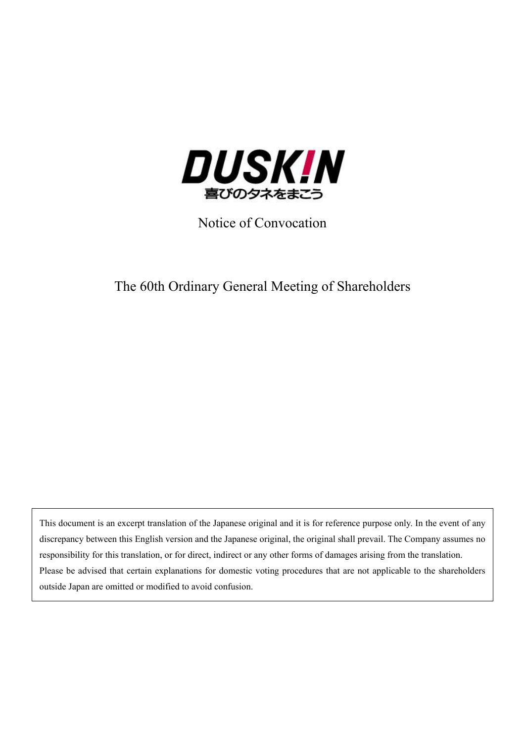

Notice of Convocation

# The 60th Ordinary General Meeting of Shareholders

This document is an excerpt translation of the Japanese original and it is for reference purpose only. In the event of any discrepancy between this English version and the Japanese original, the original shall prevail. The Company assumes no responsibility for this translation, or for direct, indirect or any other forms of damages arising from the translation. Please be advised that certain explanations for domestic voting procedures that are not applicable to the shareholders outside Japan are omitted or modified to avoid confusion.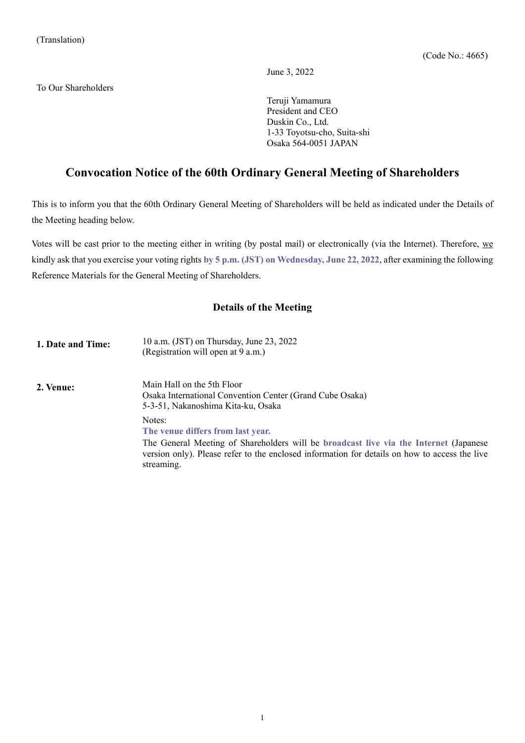June 3, 2022

To Our Shareholders

Teruji Yamamura President and CEO Duskin Co., Ltd. 1-33 Toyotsu-cho, Suita-shi Osaka 564-0051 JAPAN

# **Convocation Notice of the 60th Ordinary General Meeting of Shareholders**

This is to inform you that the 60th Ordinary General Meeting of Shareholders will be held as indicated under the Details of the Meeting heading below.

Votes will be cast prior to the meeting either in writing (by postal mail) or electronically (via the Internet). Therefore, we kindly ask that you exercise your voting rights **by 5 p.m. (JST) on Wednesday, June 22, 2022**, after examining the following Reference Materials for the General Meeting of Shareholders.

### **Details of the Meeting**

| 1. Date and Time: | 10 a.m. (JST) on Thursday, June 23, 2022<br>(Registration will open at 9 a.m.)                                                                                                                                                                      |
|-------------------|-----------------------------------------------------------------------------------------------------------------------------------------------------------------------------------------------------------------------------------------------------|
| 2. Venue:         | Main Hall on the 5th Floor<br>Osaka International Convention Center (Grand Cube Osaka)<br>5-3-51, Nakanoshima Kita-ku, Osaka                                                                                                                        |
|                   | Notes:<br>The venue differs from last year.<br>The General Meeting of Shareholders will be broadcast live via the Internet (Japanese<br>version only). Please refer to the enclosed information for details on how to access the live<br>streaming. |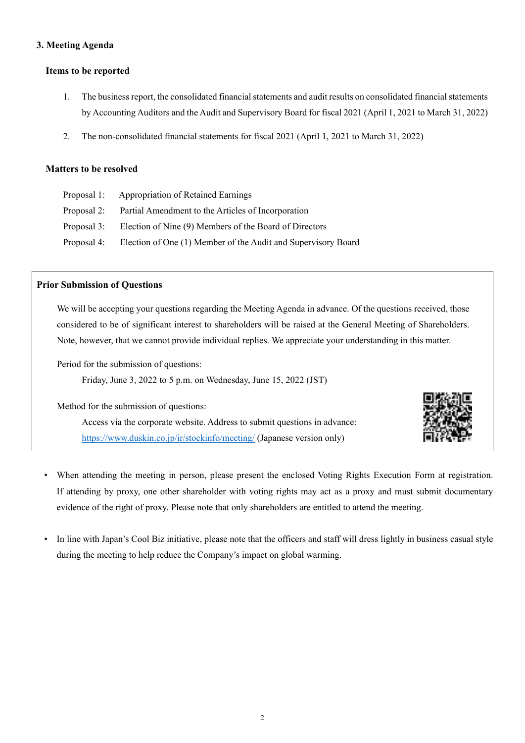### **3. Meeting Agenda**

### **Items to be reported**

- 1. The business report, the consolidated financial statements and audit results on consolidated financial statements by Accounting Auditors and the Audit and Supervisory Board for fiscal 2021 (April 1, 2021 to March 31, 2022)
- 2. The non-consolidated financial statements for fiscal 2021 (April 1, 2021 to March 31, 2022)

### **Matters to be resolved**

| Proposal 1: Appropriation of Retained Earnings                            |
|---------------------------------------------------------------------------|
| Proposal 2: Partial Amendment to the Articles of Incorporation            |
| Proposal 3: Election of Nine (9) Members of the Board of Directors        |
| Proposal 4: Election of One (1) Member of the Audit and Supervisory Board |

### **Prior Submission of Questions**

We will be accepting your questions regarding the Meeting Agenda in advance. Of the questions received, those considered to be of significant interest to shareholders will be raised at the General Meeting of Shareholders. Note, however, that we cannot provide individual replies. We appreciate your understanding in this matter.

Period for the submission of questions:

Friday, June 3, 2022 to 5 p.m. on Wednesday, June 15, 2022 (JST)

Method for the submission of questions:

Access via the corporate website. Address to submit questions in advance: https://www.duskin.co.jp/ir/stockinfo/meeting/ (Japanese version only)



- When attending the meeting in person, please present the enclosed Voting Rights Execution Form at registration. If attending by proxy, one other shareholder with voting rights may act as a proxy and must submit documentary evidence of the right of proxy. Please note that only shareholders are entitled to attend the meeting.
- In line with Japan's Cool Biz initiative, please note that the officers and staff will dress lightly in business casual style during the meeting to help reduce the Company's impact on global warming.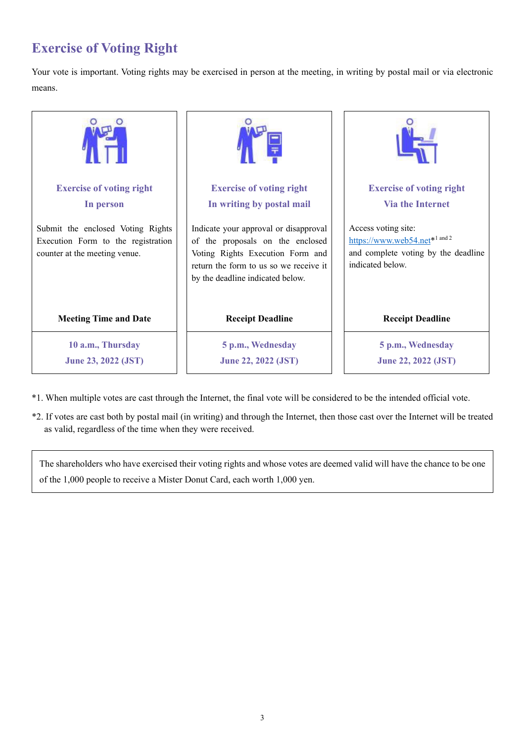# **Exercise of Voting Right**

Your vote is important. Voting rights may be exercised in person at the meeting, in writing by postal mail or via electronic means.



- \*1. When multiple votes are cast through the Internet, the final vote will be considered to be the intended official vote.
- \*2. If votes are cast both by postal mail (in writing) and through the Internet, then those cast over the Internet will be treated as valid, regardless of the time when they were received.

The shareholders who have exercised their voting rights and whose votes are deemed valid will have the chance to be one of the 1,000 people to receive a Mister Donut Card, each worth 1,000 yen.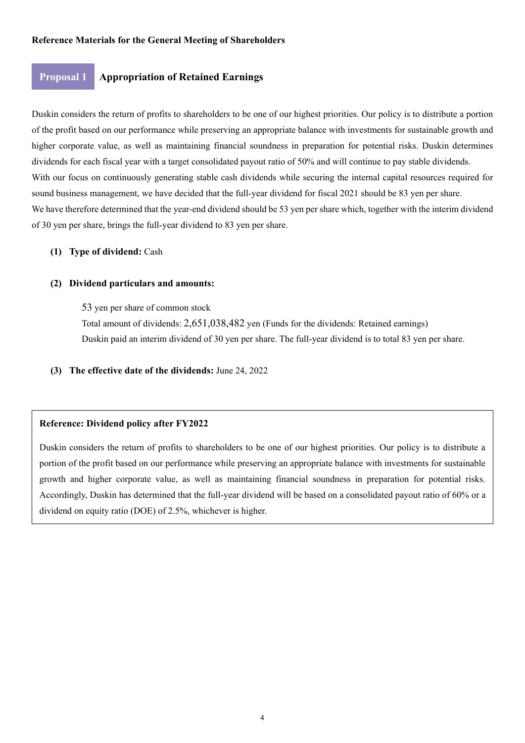### **Proposal 1 Appropriation of Retained Earnings**

Duskin considers the return of profits to shareholders to be one of our highest priorities. Our policy is to distribute a portion of the profit based on our performance while preserving an appropriate balance with investments for sustainable growth and higher corporate value, as well as maintaining financial soundness in preparation for potential risks. Duskin determines dividends for each fiscal year with a target consolidated payout ratio of 50% and will continue to pay stable dividends. With our focus on continuously generating stable cash dividends while securing the internal capital resources required for sound business management, we have decided that the full-year dividend for fiscal 2021 should be 83 yen per share. We have therefore determined that the year-end dividend should be 53 yen per share which, together with the interim dividend of 30 yen per share, brings the full-year dividend to 83 yen per share.

### **(1) Type of dividend:** Cash

### **(2) Dividend particulars and amounts:**

53 yen per share of common stock

Total amount of dividends: 2,651,038,482 yen (Funds for the dividends: Retained earnings) Duskin paid an interim dividend of 30 yen per share. The full-year dividend is to total 83 yen per share.

**(3) The effective date of the dividends:** June 24, 2022

### **Reference: Dividend policy after FY2022**

Duskin considers the return of profits to shareholders to be one of our highest priorities. Our policy is to distribute a portion of the profit based on our performance while preserving an appropriate balance with investments for sustainable growth and higher corporate value, as well as maintaining financial soundness in preparation for potential risks. Accordingly, Duskin has determined that the full-year dividend will be based on a consolidated payout ratio of 60% or a dividend on equity ratio (DOE) of 2.5%, whichever is higher.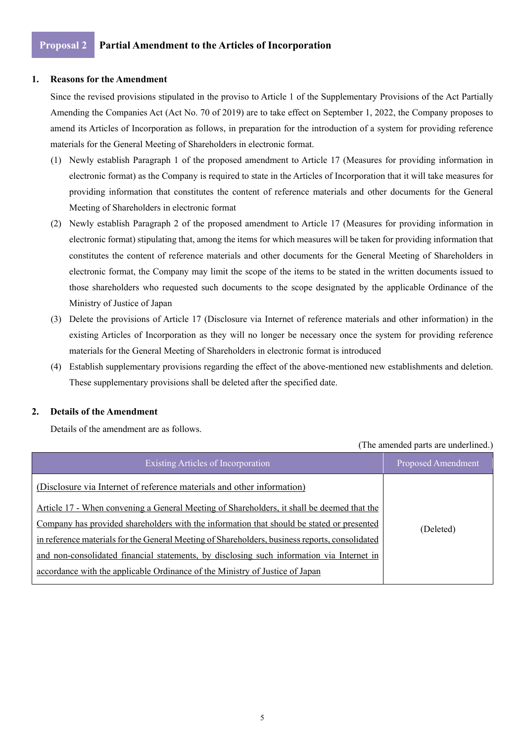### **1. Reasons for the Amendment**

Since the revised provisions stipulated in the proviso to Article 1 of the Supplementary Provisions of the Act Partially Amending the Companies Act (Act No. 70 of 2019) are to take effect on September 1, 2022, the Company proposes to amend its Articles of Incorporation as follows, in preparation for the introduction of a system for providing reference materials for the General Meeting of Shareholders in electronic format.

- (1) Newly establish Paragraph 1 of the proposed amendment to Article 17 (Measures for providing information in electronic format) as the Company is required to state in the Articles of Incorporation that it will take measures for providing information that constitutes the content of reference materials and other documents for the General Meeting of Shareholders in electronic format
- (2) Newly establish Paragraph 2 of the proposed amendment to Article 17 (Measures for providing information in electronic format) stipulating that, among the items for which measures will be taken for providing information that constitutes the content of reference materials and other documents for the General Meeting of Shareholders in electronic format, the Company may limit the scope of the items to be stated in the written documents issued to those shareholders who requested such documents to the scope designated by the applicable Ordinance of the Ministry of Justice of Japan
- (3) Delete the provisions of Article 17 (Disclosure via Internet of reference materials and other information) in the existing Articles of Incorporation as they will no longer be necessary once the system for providing reference materials for the General Meeting of Shareholders in electronic format is introduced
- (4) Establish supplementary provisions regarding the effect of the above-mentioned new establishments and deletion. These supplementary provisions shall be deleted after the specified date.

### **2. Details of the Amendment**

Details of the amendment are as follows.

(The amended parts are underlined.)

| Existing Articles of Incorporation                                                             | Proposed Amendment |
|------------------------------------------------------------------------------------------------|--------------------|
| (Disclosure via Internet of reference materials and other information)                         |                    |
| Article 17 - When convening a General Meeting of Shareholders, it shall be deemed that the     |                    |
| Company has provided shareholders with the information that should be stated or presented      | (Deleted)          |
| in reference materials for the General Meeting of Shareholders, business reports, consolidated |                    |
| and non-consolidated financial statements, by disclosing such information via Internet in      |                    |
| accordance with the applicable Ordinance of the Ministry of Justice of Japan                   |                    |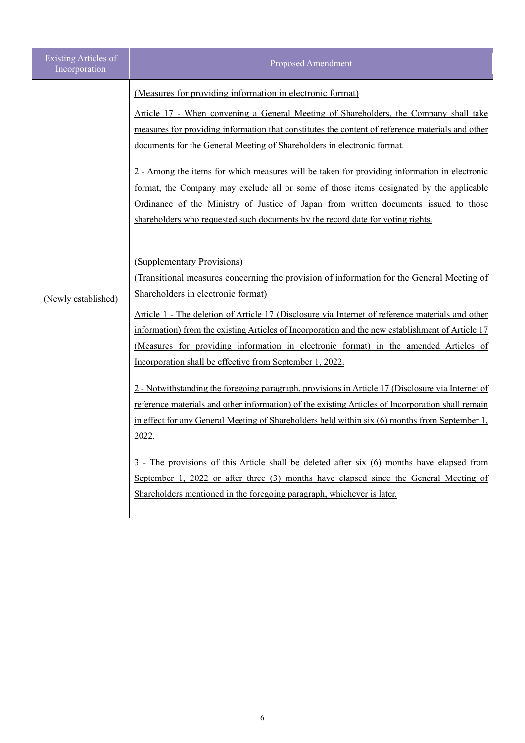| <b>Existing Articles of</b><br>Incorporation | <b>Proposed Amendment</b>                                                                                                                                                                                                                                                                                                                                                                                                                                                                                                                                                                                                                                                                                                                                                                                                                                                                                                                                                                                                                                                                                                                                                                                                                                                                                                                                                                                                                                                                                                                                                                                                                                                                                                                                   |
|----------------------------------------------|-------------------------------------------------------------------------------------------------------------------------------------------------------------------------------------------------------------------------------------------------------------------------------------------------------------------------------------------------------------------------------------------------------------------------------------------------------------------------------------------------------------------------------------------------------------------------------------------------------------------------------------------------------------------------------------------------------------------------------------------------------------------------------------------------------------------------------------------------------------------------------------------------------------------------------------------------------------------------------------------------------------------------------------------------------------------------------------------------------------------------------------------------------------------------------------------------------------------------------------------------------------------------------------------------------------------------------------------------------------------------------------------------------------------------------------------------------------------------------------------------------------------------------------------------------------------------------------------------------------------------------------------------------------------------------------------------------------------------------------------------------------|
| (Newly established)                          | (Measures for providing information in electronic format)<br>Article 17 - When convening a General Meeting of Shareholders, the Company shall take<br>measures for providing information that constitutes the content of reference materials and other<br>documents for the General Meeting of Shareholders in electronic format.<br>2 - Among the items for which measures will be taken for providing information in electronic<br>format, the Company may exclude all or some of those items designated by the applicable<br><u>Ordinance</u> of the Ministry of Justice of Japan from written documents issued to those<br>shareholders who requested such documents by the record date for voting rights.<br>(Supplementary Provisions)<br>(Transitional measures concerning the provision of information for the General Meeting of<br>Shareholders in electronic format)<br>Article 1 - The deletion of Article 17 (Disclosure via Internet of reference materials and other<br>information) from the existing Articles of Incorporation and the new establishment of Article 17<br>(Measures for providing information in electronic format) in the amended Articles of<br>Incorporation shall be effective from September 1, 2022.<br>2 - Notwithstanding the foregoing paragraph, provisions in Article 17 (Disclosure via Internet of<br>reference materials and other information) of the existing Articles of Incorporation shall remain<br>in effect for any General Meeting of Shareholders held within six (6) months from September 1,<br>2022.<br>$3$ - The provisions of this Article shall be deleted after six $(6)$ months have elapsed from<br>September 1, 2022 or after three (3) months have elapsed since the General Meeting of |
|                                              | Shareholders mentioned in the foregoing paragraph, whichever is later.                                                                                                                                                                                                                                                                                                                                                                                                                                                                                                                                                                                                                                                                                                                                                                                                                                                                                                                                                                                                                                                                                                                                                                                                                                                                                                                                                                                                                                                                                                                                                                                                                                                                                      |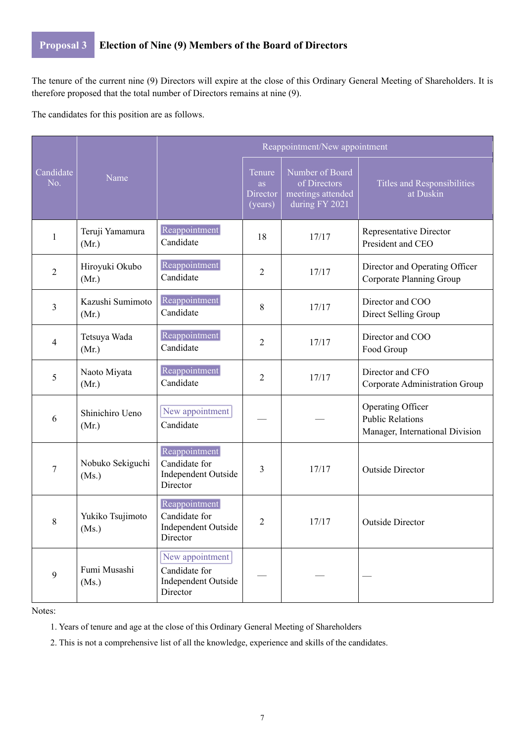# **Proposal 3 Election of Nine (9) Members of the Board of Directors**

The tenure of the current nine (9) Directors will expire at the close of this Ordinary General Meeting of Shareholders. It is therefore proposed that the total number of Directors remains at nine (9).

The candidates for this position are as follows.

|                  |                           |                                                                     | Reappointment/New appointment       |                                                                        |                                                                                 |  |  |
|------------------|---------------------------|---------------------------------------------------------------------|-------------------------------------|------------------------------------------------------------------------|---------------------------------------------------------------------------------|--|--|
| Candidate<br>No. | Name                      |                                                                     | Tenure<br>as<br>Director<br>(years) | Number of Board<br>of Directors<br>meetings attended<br>during FY 2021 | Titles and Responsibilities<br>at Duskin                                        |  |  |
| 1                | Teruji Yamamura<br>(Mr.)  | Reappointment<br>Candidate                                          | 18                                  | 17/17                                                                  | Representative Director<br>President and CEO                                    |  |  |
| $\overline{2}$   | Hiroyuki Okubo<br>(Mr.)   | Reappointment<br>Candidate                                          | $\overline{2}$                      | 17/17                                                                  | Director and Operating Officer<br>Corporate Planning Group                      |  |  |
| 3                | Kazushi Sumimoto<br>(Mr.) | Reappointment<br>Candidate                                          | 8                                   | 17/17                                                                  | Director and COO<br>Direct Selling Group                                        |  |  |
| $\overline{4}$   | Tetsuya Wada<br>(Mr.)     | Reappointment<br>Candidate                                          | $\overline{2}$                      | 17/17                                                                  | Director and COO<br>Food Group                                                  |  |  |
| 5                | Naoto Miyata<br>(Mr.)     | Reappointment<br>Candidate                                          | $\overline{2}$                      | 17/17                                                                  | Director and CFO<br>Corporate Administration Group                              |  |  |
| 6                | Shinichiro Ueno<br>(Mr.)  | New appointment<br>Candidate                                        |                                     |                                                                        | Operating Officer<br><b>Public Relations</b><br>Manager, International Division |  |  |
| 7                | Nobuko Sekiguchi<br>(Ms.) | Reappointment<br>Candidate for<br>Independent Outside<br>Director   | 3                                   | 17/17                                                                  | <b>Outside Director</b>                                                         |  |  |
| 8                | Yukiko Tsujimoto<br>(Ms.) | Reappointment<br>Candidate for<br>Independent Outside<br>Director   | $\overline{2}$                      | 17/17                                                                  | <b>Outside Director</b>                                                         |  |  |
| 9                | Fumi Musashi<br>(Ms.)     | New appointment<br>Candidate for<br>Independent Outside<br>Director |                                     |                                                                        |                                                                                 |  |  |

Notes:

1. Years of tenure and age at the close of this Ordinary General Meeting of Shareholders

2. This is not a comprehensive list of all the knowledge, experience and skills of the candidates.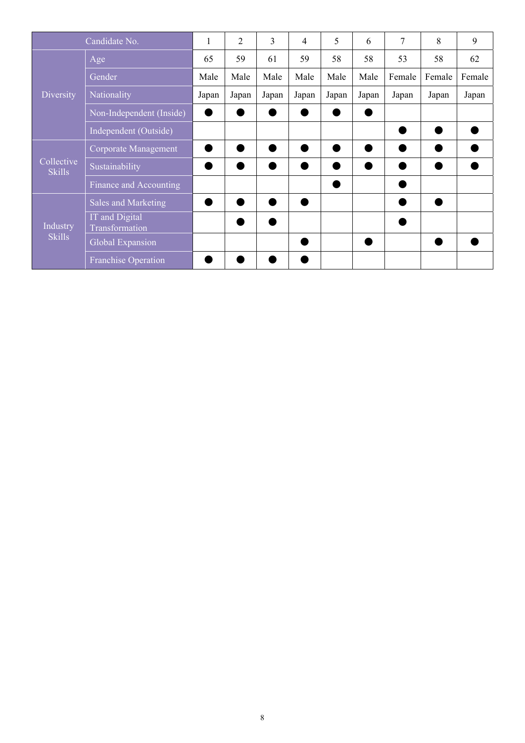| Candidate No.               |                                  | 1     | $\overline{2}$ | 3     | 4     | 5     | 6     | 7      | 8      | 9      |
|-----------------------------|----------------------------------|-------|----------------|-------|-------|-------|-------|--------|--------|--------|
|                             | Age                              | 65    | 59             | 61    | 59    | 58    | 58    | 53     | 58     | 62     |
|                             | Gender                           | Male  | Male           | Male  | Male  | Male  | Male  | Female | Female | Female |
| Diversity                   | Nationality                      | Japan | Japan          | Japan | Japan | Japan | Japan | Japan  | Japan  | Japan  |
|                             | Non-Independent (Inside)         |       |                |       |       |       |       |        |        |        |
|                             | Independent (Outside)            |       |                |       |       |       |       |        |        |        |
| Collective<br><b>Skills</b> | Corporate Management             |       |                |       |       |       |       |        |        |        |
|                             | Sustainability                   |       |                |       |       |       |       |        |        |        |
|                             | Finance and Accounting           |       |                |       |       |       |       |        |        |        |
|                             | Sales and Marketing              |       |                |       |       |       |       |        |        |        |
| Industry<br><b>Skills</b>   | IT and Digital<br>Transformation |       |                |       |       |       |       |        |        |        |
|                             | Global Expansion                 |       |                |       |       |       |       |        |        |        |
|                             | <b>Franchise Operation</b>       |       |                |       |       |       |       |        |        |        |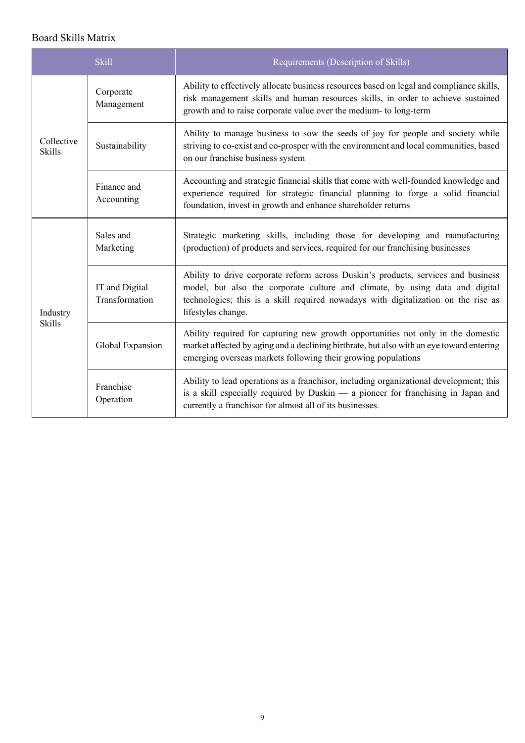## Board Skills Matrix

|                             | <b>Skill</b>                     | Requirements (Description of Skills)                                                                                                                                                                                                                                          |  |  |
|-----------------------------|----------------------------------|-------------------------------------------------------------------------------------------------------------------------------------------------------------------------------------------------------------------------------------------------------------------------------|--|--|
|                             | Corporate<br>Management          | Ability to effectively allocate business resources based on legal and compliance skills,<br>risk management skills and human resources skills, in order to achieve sustained<br>growth and to raise corporate value over the medium- to long-term                             |  |  |
| Collective<br><b>Skills</b> | Sustainability                   | Ability to manage business to sow the seeds of joy for people and society while<br>striving to co-exist and co-prosper with the environment and local communities, based<br>on our franchise business system                                                                  |  |  |
|                             | Finance and<br>Accounting        | Accounting and strategic financial skills that come with well-founded knowledge and<br>experience required for strategic financial planning to forge a solid financial<br>foundation, invest in growth and enhance shareholder returns                                        |  |  |
| Industry<br><b>Skills</b>   | Sales and<br>Marketing           | Strategic marketing skills, including those for developing and manufacturing<br>(production) of products and services, required for our franchising businesses                                                                                                                |  |  |
|                             | IT and Digital<br>Transformation | Ability to drive corporate reform across Duskin's products, services and business<br>model, but also the corporate culture and climate, by using data and digital<br>technologies; this is a skill required nowadays with digitalization on the rise as<br>lifestyles change. |  |  |
|                             | Global Expansion                 | Ability required for capturing new growth opportunities not only in the domestic<br>market affected by aging and a declining birthrate, but also with an eye toward entering<br>emerging overseas markets following their growing populations                                 |  |  |
|                             | Franchise<br>Operation           | Ability to lead operations as a franchisor, including organizational development; this<br>is a skill especially required by Duskin — a pioneer for franchising in Japan and<br>currently a franchisor for almost all of its businesses.                                       |  |  |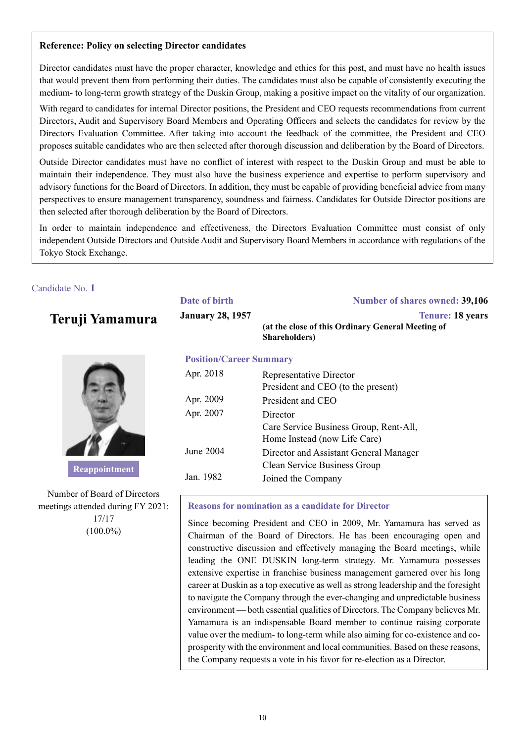### **Reference: Policy on selecting Director candidates**

Director candidates must have the proper character, knowledge and ethics for this post, and must have no health issues that would prevent them from performing their duties. The candidates must also be capable of consistently executing the medium- to long-term growth strategy of the Duskin Group, making a positive impact on the vitality of our organization.

With regard to candidates for internal Director positions, the President and CEO requests recommendations from current Directors, Audit and Supervisory Board Members and Operating Officers and selects the candidates for review by the Directors Evaluation Committee. After taking into account the feedback of the committee, the President and CEO proposes suitable candidates who are then selected after thorough discussion and deliberation by the Board of Directors.

Outside Director candidates must have no conflict of interest with respect to the Duskin Group and must be able to maintain their independence. They must also have the business experience and expertise to perform supervisory and advisory functions for the Board of Directors. In addition, they must be capable of providing beneficial advice from many perspectives to ensure management transparency, soundness and fairness. Candidates for Outside Director positions are then selected after thorough deliberation by the Board of Directors.

In order to maintain independence and effectiveness, the Directors Evaluation Committee must consist of only independent Outside Directors and Outside Audit and Supervisory Board Members in accordance with regulations of the Tokyo Stock Exchange.

### Candidate No. **1**

# **Teruji Yamamura**



**Reappointment** 

Number of Board of Directors meetings attended during FY 2021: 17/17  $(100.0\%)$ 

# **Date of birth Number of shares owned: 39,106 January 28, 1957 Tenure: 18 years (at the close of this Ordinary General Meeting of Shareholders)**

### **Position/Career Summary**

| Apr. 2018 | <b>Representative Director</b>         |
|-----------|----------------------------------------|
|           | President and CEO (to the present)     |
| Apr. 2009 | President and CEO                      |
| Apr. 2007 | Director                               |
|           | Care Service Business Group, Rent-All, |
|           | Home Instead (now Life Care)           |
| June 2004 | Director and Assistant General Manager |
|           | Clean Service Business Group           |
| Jan. 1982 | Joined the Company                     |
|           |                                        |

### **Reasons for nomination as a candidate for Director**

Since becoming President and CEO in 2009, Mr. Yamamura has served as Chairman of the Board of Directors. He has been encouraging open and constructive discussion and effectively managing the Board meetings, while leading the ONE DUSKIN long-term strategy. Mr. Yamamura possesses extensive expertise in franchise business management garnered over his long career at Duskin as a top executive as well as strong leadership and the foresight to navigate the Company through the ever-changing and unpredictable business environment — both essential qualities of Directors. The Company believes Mr. Yamamura is an indispensable Board member to continue raising corporate value over the medium- to long-term while also aiming for co-existence and coprosperity with the environment and local communities. Based on these reasons, the Company requests a vote in his favor for re-election as a Director.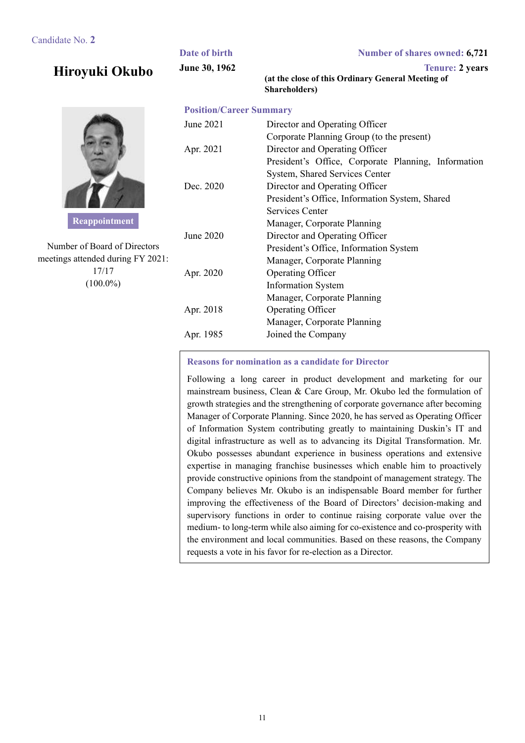### Candidate No. **2**

**Hiroyuki Okubo**



**Reappointment** 

Number of Board of Directors meetings attended during FY 2021: 17/17  $(100.0\%)$ 

| Number of shares owned: 6,721                                                                                                                                                                | Date of birth                  |  |  |
|----------------------------------------------------------------------------------------------------------------------------------------------------------------------------------------------|--------------------------------|--|--|
| <b>Tenure: 2 years</b><br>(at the close of this Ordinary General Meeting of<br>Shareholders)                                                                                                 | June 30, 1962                  |  |  |
|                                                                                                                                                                                              | <b>Position/Career Summary</b> |  |  |
| Director and Operating Officer<br>Corporate Planning Group (to the present)                                                                                                                  | June 2021                      |  |  |
| Director and Operating Officer                                                                                                                                                               | Apr. 2021                      |  |  |
| President's Office, Corporate Planning, Information<br>System, Shared Services Center<br>Director and Operating Officer<br>President's Office, Information System, Shared<br>Services Center | Dec. 2020                      |  |  |
| Manager, Corporate Planning<br>Director and Operating Officer<br>President's Office, Information System                                                                                      | June 2020                      |  |  |
| Manager, Corporate Planning<br><b>Operating Officer</b><br><b>Information System</b>                                                                                                         | Apr. 2020                      |  |  |
| Manager, Corporate Planning<br>Operating Officer<br>Manager, Corporate Planning                                                                                                              | Apr. 2018                      |  |  |
| Joined the Company                                                                                                                                                                           | Apr. 1985                      |  |  |

### **Reasons for nomination as a candidate for Director**

Following a long career in product development and marketing for our mainstream business, Clean & Care Group, Mr. Okubo led the formulation of growth strategies and the strengthening of corporate governance after becoming Manager of Corporate Planning. Since 2020, he has served as Operating Officer of Information System contributing greatly to maintaining Duskin's IT and digital infrastructure as well as to advancing its Digital Transformation. Mr. Okubo possesses abundant experience in business operations and extensive expertise in managing franchise businesses which enable him to proactively provide constructive opinions from the standpoint of management strategy. The Company believes Mr. Okubo is an indispensable Board member for further improving the effectiveness of the Board of Directors' decision-making and supervisory functions in order to continue raising corporate value over the medium- to long-term while also aiming for co-existence and co-prosperity with the environment and local communities. Based on these reasons, the Company requests a vote in his favor for re-election as a Director.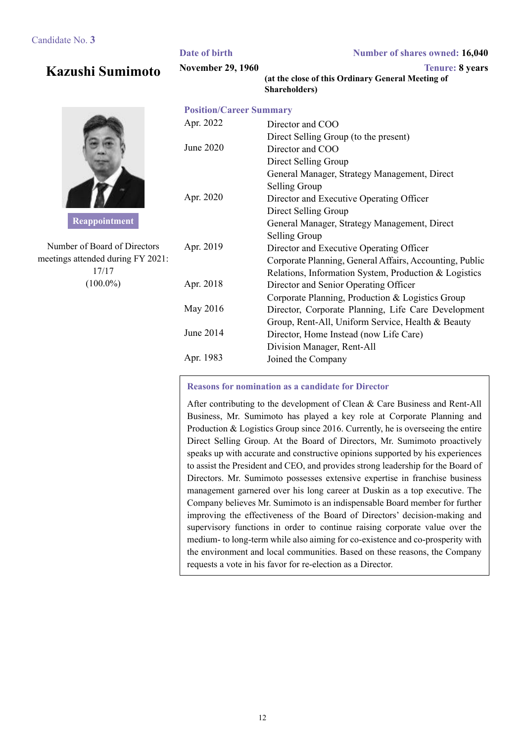# **Kazushi Sumimoto**



**Reappointment** 

Number of Board of Directors meetings attended during FY 2021: 17/17 (100.0%)

|                                | <b>Shareholders</b> )                                   |
|--------------------------------|---------------------------------------------------------|
| <b>Position/Career Summary</b> |                                                         |
| Apr. 2022                      | Director and COO                                        |
|                                | Direct Selling Group (to the present)                   |
| June 2020                      | Director and COO                                        |
|                                | Direct Selling Group                                    |
|                                | General Manager, Strategy Management, Direct            |
|                                | Selling Group                                           |
| Apr. 2020                      | Director and Executive Operating Officer                |
|                                | Direct Selling Group                                    |
|                                | General Manager, Strategy Management, Direct            |
|                                | Selling Group                                           |
| Apr. 2019                      | Director and Executive Operating Officer                |
|                                | Corporate Planning, General Affairs, Accounting, Public |
|                                | Relations, Information System, Production & Logistics   |
| Apr. 2018                      | Director and Senior Operating Officer                   |
|                                | Corporate Planning, Production & Logistics Group        |
| May 2016                       | Director, Corporate Planning, Life Care Development     |
|                                | Group, Rent-All, Uniform Service, Health & Beauty       |
| June 2014                      | Director, Home Instead (now Life Care)                  |
|                                | Division Manager, Rent-All                              |
| Apr. 1983                      | Joined the Company                                      |

**Date of birth Number of shares owned: 16,040 November 29, 1960 Tenure: 8 years** 

**(at the close of this Ordinary General Meeting of** 

### **Reasons for nomination as a candidate for Director**

After contributing to the development of Clean & Care Business and Rent-All Business, Mr. Sumimoto has played a key role at Corporate Planning and Production & Logistics Group since 2016. Currently, he is overseeing the entire Direct Selling Group. At the Board of Directors, Mr. Sumimoto proactively speaks up with accurate and constructive opinions supported by his experiences to assist the President and CEO, and provides strong leadership for the Board of Directors. Mr. Sumimoto possesses extensive expertise in franchise business management garnered over his long career at Duskin as a top executive. The Company believes Mr. Sumimoto is an indispensable Board member for further improving the effectiveness of the Board of Directors' decision-making and supervisory functions in order to continue raising corporate value over the medium- to long-term while also aiming for co-existence and co-prosperity with the environment and local communities. Based on these reasons, the Company requests a vote in his favor for re-election as a Director.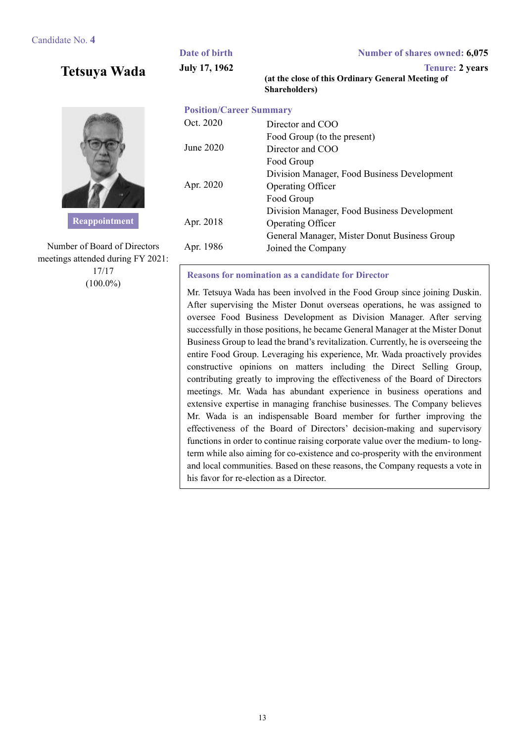**Tetsuya Wada**



**Reappointment** 

Number of Board of Directors meetings attended during FY 2021: 17/17  $(100.0\%)$ 

### **Date of birth Number of shares owned: 6,075 July 17, 1962** Tenure: 2 years **(at the close of this Ordinary General Meeting of Shareholders)**

### **Position/Career Summary**

| Oct. 2020 | Director and COO                             |
|-----------|----------------------------------------------|
|           | Food Group (to the present)                  |
| June 2020 | Director and COO                             |
|           | Food Group                                   |
|           | Division Manager, Food Business Development  |
| Apr. 2020 | Operating Officer                            |
|           | Food Group                                   |
|           | Division Manager, Food Business Development  |
| Apr. 2018 | <b>Operating Officer</b>                     |
|           | General Manager, Mister Donut Business Group |
| Apr. 1986 | Joined the Company                           |
|           |                                              |

**Reasons for nomination as a candidate for Director** 

Mr. Tetsuya Wada has been involved in the Food Group since joining Duskin. After supervising the Mister Donut overseas operations, he was assigned to oversee Food Business Development as Division Manager. After serving successfully in those positions, he became General Manager at the Mister Donut Business Group to lead the brand's revitalization. Currently, he is overseeing the entire Food Group. Leveraging his experience, Mr. Wada proactively provides constructive opinions on matters including the Direct Selling Group, contributing greatly to improving the effectiveness of the Board of Directors meetings. Mr. Wada has abundant experience in business operations and extensive expertise in managing franchise businesses. The Company believes Mr. Wada is an indispensable Board member for further improving the effectiveness of the Board of Directors' decision-making and supervisory functions in order to continue raising corporate value over the medium- to longterm while also aiming for co-existence and co-prosperity with the environment and local communities. Based on these reasons, the Company requests a vote in his favor for re-election as a Director.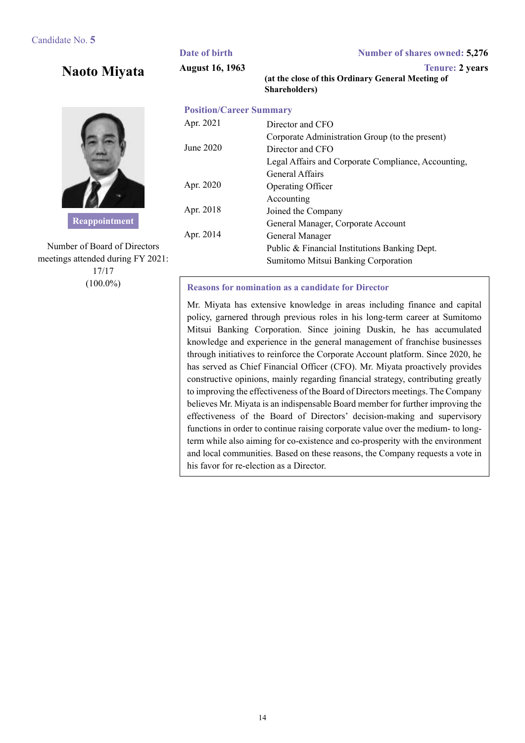**Naoto Miyata**



**Reappointment** 

Number of Board of Directors meetings attended during FY 2021: 17/17 (100.0%)

### **Date of birth Number of shares owned: 5,276 August 16, 1963 Tenure: 2 years (at the close of this Ordinary General Meeting of Shareholders)**

### **Position/Career Summary** Apr. 2021 Director and CFO Corporate Administration Group (to the present) June 2020 Director and CFO Legal Affairs and Corporate Compliance, Accounting, General Affairs Apr. 2020 Operating Officer Accounting Apr. 2018 Joined the Company General Manager, Corporate Account Apr. 2014 General Manager Public & Financial Institutions Banking Dept. Sumitomo Mitsui Banking Corporation

### **Reasons for nomination as a candidate for Director**

Mr. Miyata has extensive knowledge in areas including finance and capital policy, garnered through previous roles in his long-term career at Sumitomo Mitsui Banking Corporation. Since joining Duskin, he has accumulated knowledge and experience in the general management of franchise businesses through initiatives to reinforce the Corporate Account platform. Since 2020, he has served as Chief Financial Officer (CFO). Mr. Miyata proactively provides constructive opinions, mainly regarding financial strategy, contributing greatly to improving the effectiveness of the Board of Directors meetings. The Company believes Mr. Miyata is an indispensable Board member for further improving the effectiveness of the Board of Directors' decision-making and supervisory functions in order to continue raising corporate value over the medium- to longterm while also aiming for co-existence and co-prosperity with the environment and local communities. Based on these reasons, the Company requests a vote in his favor for re-election as a Director.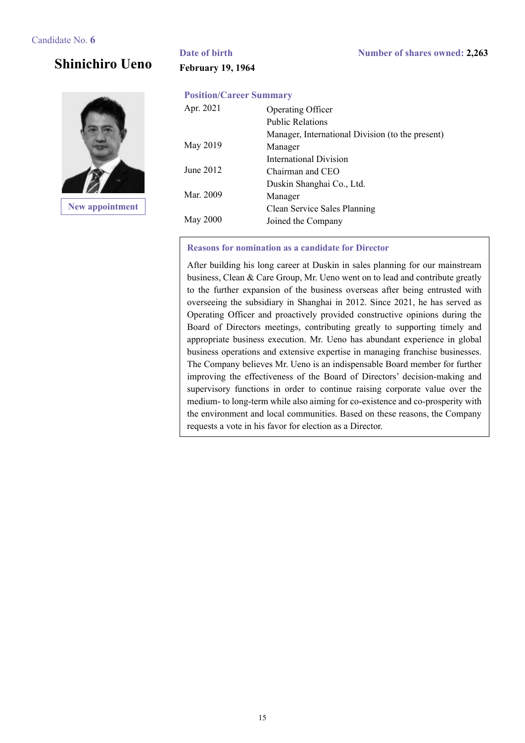# **Shinichiro Ueno**



**New appointment** 

# **February 19, 1964**

### **Position/Career Summary**

| Apr. 2021       | Operating Officer                                |
|-----------------|--------------------------------------------------|
|                 | <b>Public Relations</b>                          |
|                 | Manager, International Division (to the present) |
| May 2019        | Manager                                          |
|                 | International Division                           |
| June 2012       | Chairman and CEO                                 |
|                 | Duskin Shanghai Co., Ltd.                        |
| Mar. 2009       | Manager                                          |
|                 | Clean Service Sales Planning                     |
| <b>May 2000</b> | Joined the Company                               |
|                 |                                                  |

### **Reasons for nomination as a candidate for Director**

After building his long career at Duskin in sales planning for our mainstream business, Clean & Care Group, Mr. Ueno went on to lead and contribute greatly to the further expansion of the business overseas after being entrusted with overseeing the subsidiary in Shanghai in 2012. Since 2021, he has served as Operating Officer and proactively provided constructive opinions during the Board of Directors meetings, contributing greatly to supporting timely and appropriate business execution. Mr. Ueno has abundant experience in global business operations and extensive expertise in managing franchise businesses. The Company believes Mr. Ueno is an indispensable Board member for further improving the effectiveness of the Board of Directors' decision-making and supervisory functions in order to continue raising corporate value over the medium- to long-term while also aiming for co-existence and co-prosperity with the environment and local communities. Based on these reasons, the Company requests a vote in his favor for election as a Director.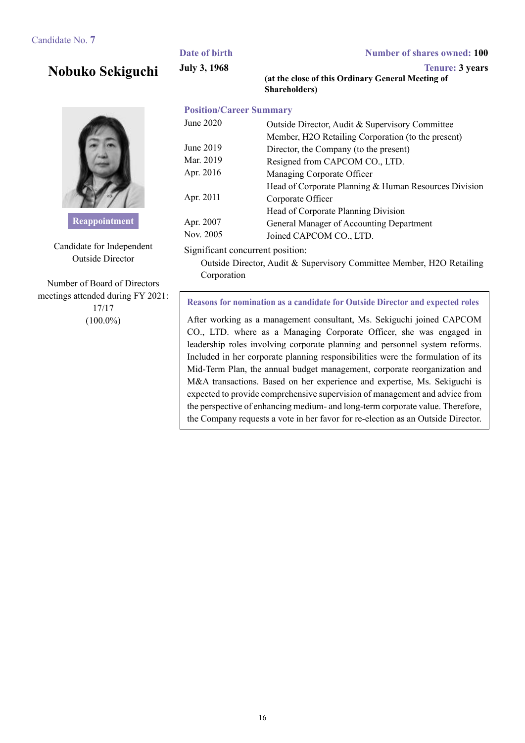# **Nobuko Sekiguchi**



**Reappointment** 

Candidate for Independent Outside Director

Number of Board of Directors meetings attended during FY 2021: 17/17  $(100.0\%)$ 

**Date of birth Number of shares owned: 100 July 3, 1968 Tenure: 3 years** 

**(at the close of this Ordinary General Meeting of Shareholders)**

### **Position/Career Summary**

| June 2020 | Outside Director, Audit & Supervisory Committee       |
|-----------|-------------------------------------------------------|
|           | Member, H2O Retailing Corporation (to the present)    |
| June 2019 | Director, the Company (to the present)                |
| Mar. 2019 | Resigned from CAPCOM CO., LTD.                        |
| Apr. 2016 | Managing Corporate Officer                            |
|           | Head of Corporate Planning & Human Resources Division |
| Apr. 2011 | Corporate Officer                                     |
|           | Head of Corporate Planning Division                   |
| Apr. 2007 | General Manager of Accounting Department              |
| Nov. 2005 | Joined CAPCOM CO., LTD.                               |
|           |                                                       |

### Significant concurrent position:

Outside Director, Audit & Supervisory Committee Member, H2O Retailing Corporation

### **Reasons for nomination as a candidate for Outside Director and expected roles**

After working as a management consultant, Ms. Sekiguchi joined CAPCOM CO., LTD. where as a Managing Corporate Officer, she was engaged in leadership roles involving corporate planning and personnel system reforms. Included in her corporate planning responsibilities were the formulation of its Mid-Term Plan, the annual budget management, corporate reorganization and M&A transactions. Based on her experience and expertise, Ms. Sekiguchi is expected to provide comprehensive supervision of management and advice from the perspective of enhancing medium- and long-term corporate value. Therefore, the Company requests a vote in her favor for re-election as an Outside Director.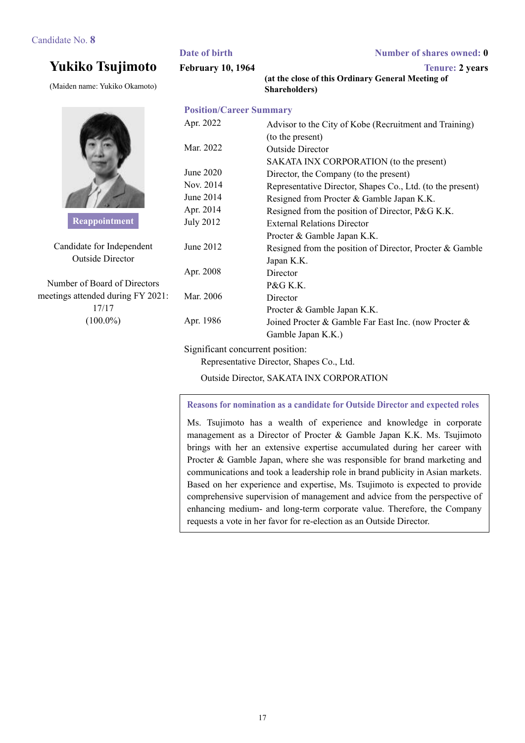# **Yukiko Tsujimoto**

(Maiden name: Yukiko Okamoto)



**Reappointment** 

Candidate for Independent Outside Director

Number of Board of Directors meetings attended during FY 2021: 17/17  $(100.0\%)$ 

|                                | (at the close of this Ordinary General Meeting of<br><b>Shareholders</b> ) |
|--------------------------------|----------------------------------------------------------------------------|
| <b>Position/Career Summary</b> |                                                                            |
| Apr. 2022                      | Advisor to the City of Kobe (Recruitment and Training)                     |
|                                | (to the present)                                                           |
| Mar. 2022                      | <b>Outside Director</b>                                                    |
|                                | SAKATA INX CORPORATION (to the present)                                    |
| June 2020                      | Director, the Company (to the present)                                     |
| Nov. 2014                      | Representative Director, Shapes Co., Ltd. (to the present)                 |
| June 2014                      | Resigned from Procter & Gamble Japan K.K.                                  |
| Apr. 2014                      | Resigned from the position of Director, P&G K.K.                           |
| <b>July 2012</b>               | <b>External Relations Director</b>                                         |
|                                | Procter & Gamble Japan K.K.                                                |
| June 2012                      | Resigned from the position of Director, Procter & Gamble                   |
|                                | Japan K.K.                                                                 |
| Apr. 2008                      | Director                                                                   |
|                                | P&G K.K.                                                                   |
| Mar. 2006                      | Director                                                                   |
|                                | Procter & Gamble Japan K.K.                                                |
| Apr. 1986                      | Joined Procter & Gamble Far East Inc. (now Procter &                       |
|                                |                                                                            |

**February 10, 1964** Tenure: 2 years

**(at the close of this Ordinary General Meeting of** 

### Significant concurrent position:

Representative Director, Shapes Co., Ltd.

Outside Director, SAKATA INX CORPORATION

Gamble Japan K.K.)

### **Reasons for nomination as a candidate for Outside Director and expected roles**

Ms. Tsujimoto has a wealth of experience and knowledge in corporate management as a Director of Procter & Gamble Japan K.K. Ms. Tsujimoto brings with her an extensive expertise accumulated during her career with Procter & Gamble Japan, where she was responsible for brand marketing and communications and took a leadership role in brand publicity in Asian markets. Based on her experience and expertise, Ms. Tsujimoto is expected to provide comprehensive supervision of management and advice from the perspective of enhancing medium- and long-term corporate value. Therefore, the Company requests a vote in her favor for re-election as an Outside Director.

**Date of birth Number of shares owned: 0**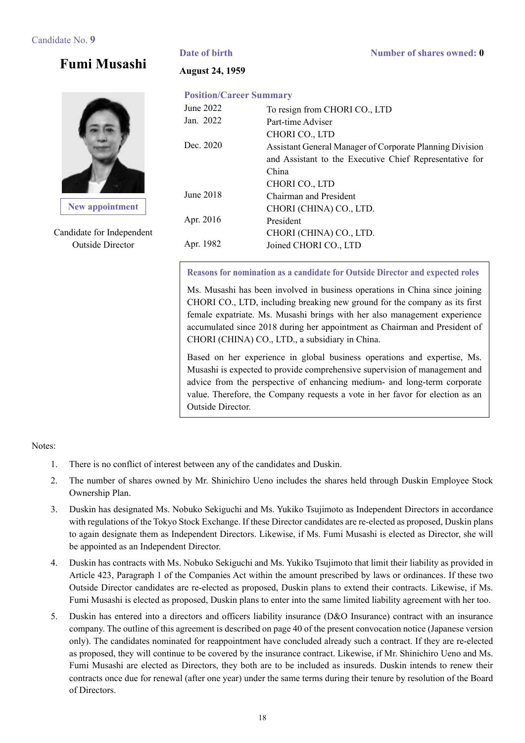**Date of birth Number of shares owned: 0** 

# **Fumi Musashi**



**New appointment**

Candidate for Independent Outside Director

### **August 24, 1959**

### **Position/Career Summary**

| June 2022 | To resign from CHORI CO., LTD                            |
|-----------|----------------------------------------------------------|
| Jan. 2022 | Part-time Adviser                                        |
|           | CHORI CO., LTD                                           |
| Dec. 2020 | Assistant General Manager of Corporate Planning Division |
|           | and Assistant to the Executive Chief Representative for  |
|           | China                                                    |
|           | CHORI CO., LTD                                           |
| June 2018 | Chairman and President                                   |
|           | CHORI (CHINA) CO., LTD.                                  |
| Apr. 2016 | President                                                |
|           | CHORI (CHINA) CO., LTD.                                  |
| Apr. 1982 | Joined CHORI CO., LTD                                    |
|           |                                                          |

**Reasons for nomination as a candidate for Outside Director and expected roles**

Ms. Musashi has been involved in business operations in China since joining CHORI CO., LTD, including breaking new ground for the company as its first female expatriate. Ms. Musashi brings with her also management experience accumulated since 2018 during her appointment as Chairman and President of CHORI (CHINA) CO., LTD., a subsidiary in China.

Based on her experience in global business operations and expertise, Ms. Musashi is expected to provide comprehensive supervision of management and advice from the perspective of enhancing medium- and long-term corporate value. Therefore, the Company requests a vote in her favor for election as an Outside Director.

### Notes:

- 1. There is no conflict of interest between any of the candidates and Duskin.
- 2. The number of shares owned by Mr. Shinichiro Ueno includes the shares held through Duskin Employee Stock Ownership Plan.
- 3. Duskin has designated Ms. Nobuko Sekiguchi and Ms. Yukiko Tsujimoto as Independent Directors in accordance with regulations of the Tokyo Stock Exchange. If these Director candidates are re-elected as proposed, Duskin plans to again designate them as Independent Directors. Likewise, if Ms. Fumi Musashi is elected as Director, she will be appointed as an Independent Director.
- 4. Duskin has contracts with Ms. Nobuko Sekiguchi and Ms. Yukiko Tsujimoto that limit their liability as provided in Article 423, Paragraph 1 of the Companies Act within the amount prescribed by laws or ordinances. If these two Outside Director candidates are re-elected as proposed, Duskin plans to extend their contracts. Likewise, if Ms. Fumi Musashi is elected as proposed, Duskin plans to enter into the same limited liability agreement with her too.
- 5. Duskin has entered into a directors and officers liability insurance (D&O Insurance) contract with an insurance company. The outline of this agreement is described on page 40 of the present convocation notice (Japanese version only). The candidates nominated for reappointment have concluded already such a contract. If they are re-elected as proposed, they will continue to be covered by the insurance contract. Likewise, if Mr. Shinichiro Ueno and Ms. Fumi Musashi are elected as Directors, they both are to be included as insureds. Duskin intends to renew their contracts once due for renewal (after one year) under the same terms during their tenure by resolution of the Board of Directors.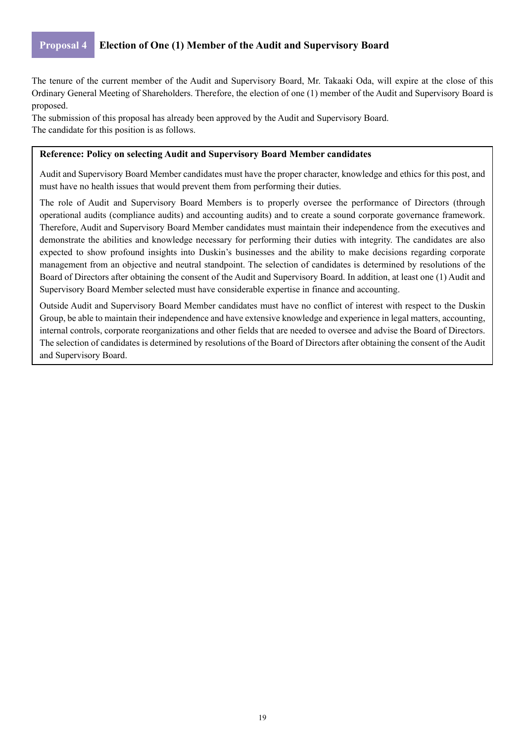### **Proposal 4 Election of One (1) Member of the Audit and Supervisory Board**

The tenure of the current member of the Audit and Supervisory Board, Mr. Takaaki Oda, will expire at the close of this Ordinary General Meeting of Shareholders. Therefore, the election of one (1) member of the Audit and Supervisory Board is proposed.

The submission of this proposal has already been approved by the Audit and Supervisory Board. The candidate for this position is as follows.

### **Reference: Policy on selecting Audit and Supervisory Board Member candidates**

Audit and Supervisory Board Member candidates must have the proper character, knowledge and ethics for this post, and must have no health issues that would prevent them from performing their duties.

The role of Audit and Supervisory Board Members is to properly oversee the performance of Directors (through operational audits (compliance audits) and accounting audits) and to create a sound corporate governance framework. Therefore, Audit and Supervisory Board Member candidates must maintain their independence from the executives and demonstrate the abilities and knowledge necessary for performing their duties with integrity. The candidates are also expected to show profound insights into Duskin's businesses and the ability to make decisions regarding corporate management from an objective and neutral standpoint. The selection of candidates is determined by resolutions of the Board of Directors after obtaining the consent of the Audit and Supervisory Board. In addition, at least one (1) Audit and Supervisory Board Member selected must have considerable expertise in finance and accounting.

Outside Audit and Supervisory Board Member candidates must have no conflict of interest with respect to the Duskin Group, be able to maintain their independence and have extensive knowledge and experience in legal matters, accounting, internal controls, corporate reorganizations and other fields that are needed to oversee and advise the Board of Directors. The selection of candidates is determined by resolutions of the Board of Directors after obtaining the consent of the Audit and Supervisory Board.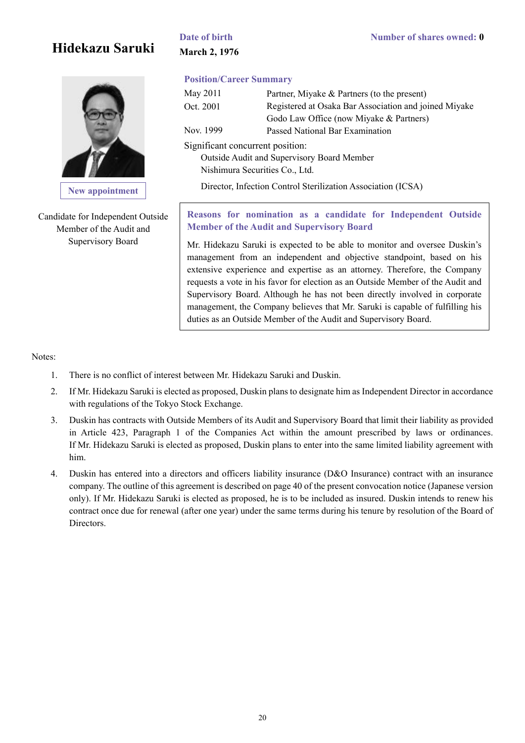# **Hidekazu Saruki**



**New appointment**

Candidate for Independent Outside Member of the Audit and Supervisory Board

# **March 2, 1976**

### **Position/Career Summary**

| May 2011                         | Partner, Miyake & Partners (to the present)           |
|----------------------------------|-------------------------------------------------------|
| Oct. 2001                        | Registered at Osaka Bar Association and joined Miyake |
|                                  | Godo Law Office (now Miyake & Partners)               |
| Nov. 1999                        | Passed National Bar Examination                       |
| Significant concurrent position: |                                                       |
|                                  | Outside Audit and Supervisory Board Member            |

Nishimura Securities Co., Ltd.

Director, Infection Control Sterilization Association (ICSA)

**Reasons for nomination as a candidate for Independent Outside Member of the Audit and Supervisory Board** 

Mr. Hidekazu Saruki is expected to be able to monitor and oversee Duskin's management from an independent and objective standpoint, based on his extensive experience and expertise as an attorney. Therefore, the Company requests a vote in his favor for election as an Outside Member of the Audit and Supervisory Board. Although he has not been directly involved in corporate management, the Company believes that Mr. Saruki is capable of fulfilling his duties as an Outside Member of the Audit and Supervisory Board.

Notes:

- 1. There is no conflict of interest between Mr. Hidekazu Saruki and Duskin.
- 2. If Mr. Hidekazu Saruki is elected as proposed, Duskin plans to designate him as Independent Director in accordance with regulations of the Tokyo Stock Exchange.
- 3. Duskin has contracts with Outside Members of its Audit and Supervisory Board that limit their liability as provided in Article 423, Paragraph 1 of the Companies Act within the amount prescribed by laws or ordinances. If Mr. Hidekazu Saruki is elected as proposed, Duskin plans to enter into the same limited liability agreement with him.
- 4. Duskin has entered into a directors and officers liability insurance (D&O Insurance) contract with an insurance company. The outline of this agreement is described on page 40 of the present convocation notice (Japanese version only). If Mr. Hidekazu Saruki is elected as proposed, he is to be included as insured. Duskin intends to renew his contract once due for renewal (after one year) under the same terms during his tenure by resolution of the Board of Directors.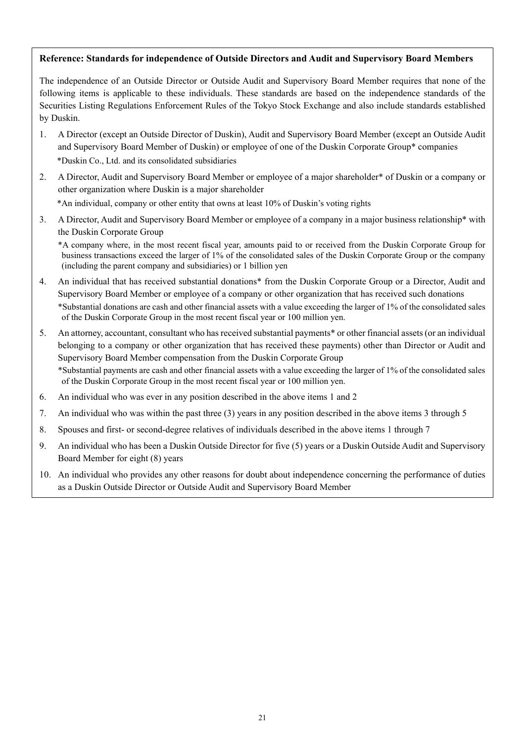### **Reference: Standards for independence of Outside Directors and Audit and Supervisory Board Members**

The independence of an Outside Director or Outside Audit and Supervisory Board Member requires that none of the following items is applicable to these individuals. These standards are based on the independence standards of the Securities Listing Regulations Enforcement Rules of the Tokyo Stock Exchange and also include standards established by Duskin.

- 1. A Director (except an Outside Director of Duskin), Audit and Supervisory Board Member (except an Outside Audit and Supervisory Board Member of Duskin) or employee of one of the Duskin Corporate Group\* companies \*Duskin Co., Ltd. and its consolidated subsidiaries
- 2. A Director, Audit and Supervisory Board Member or employee of a major shareholder\* of Duskin or a company or other organization where Duskin is a major shareholder

\*An individual, company or other entity that owns at least 10% of Duskin's voting rights

3. A Director, Audit and Supervisory Board Member or employee of a company in a major business relationship\* with the Duskin Corporate Group

\*A company where, in the most recent fiscal year, amounts paid to or received from the Duskin Corporate Group for business transactions exceed the larger of 1% of the consolidated sales of the Duskin Corporate Group or the company (including the parent company and subsidiaries) or 1 billion yen

- 4. An individual that has received substantial donations\* from the Duskin Corporate Group or a Director, Audit and Supervisory Board Member or employee of a company or other organization that has received such donations \*Substantial donations are cash and other financial assets with a value exceeding the larger of 1% of the consolidated sales of the Duskin Corporate Group in the most recent fiscal year or 100 million yen.
- 5. An attorney, accountant, consultant who has received substantial payments\* or other financial assets (or an individual belonging to a company or other organization that has received these payments) other than Director or Audit and Supervisory Board Member compensation from the Duskin Corporate Group \*Substantial payments are cash and other financial assets with a value exceeding the larger of 1% of the consolidated sales of the Duskin Corporate Group in the most recent fiscal year or 100 million yen.
- 6. An individual who was ever in any position described in the above items 1 and 2
- 7. An individual who was within the past three (3) years in any position described in the above items 3 through 5
- 8. Spouses and first- or second-degree relatives of individuals described in the above items 1 through 7
- 9. An individual who has been a Duskin Outside Director for five (5) years or a Duskin Outside Audit and Supervisory Board Member for eight (8) years
- 10. An individual who provides any other reasons for doubt about independence concerning the performance of duties as a Duskin Outside Director or Outside Audit and Supervisory Board Member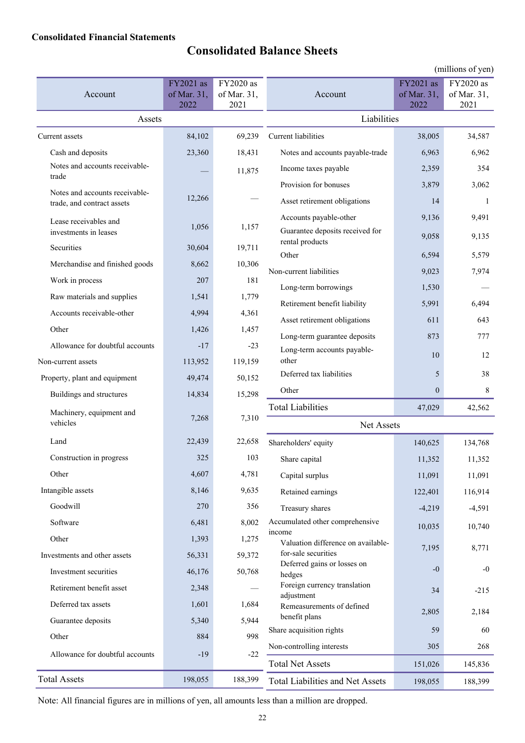### **Consolidated Financial Statements**

# **Consolidated Balance Sheets**

|                                                              |                                  |                                  |                                                    |                                  | (millions of yen)                |
|--------------------------------------------------------------|----------------------------------|----------------------------------|----------------------------------------------------|----------------------------------|----------------------------------|
| Account                                                      | FY2021 as<br>of Mar. 31,<br>2022 | FY2020 as<br>of Mar. 31,<br>2021 | Account                                            | FY2021 as<br>of Mar. 31,<br>2022 | FY2020 as<br>of Mar. 31,<br>2021 |
| Assets                                                       |                                  |                                  | Liabilities                                        |                                  |                                  |
| Current assets                                               | 84,102                           | 69,239                           | Current liabilities                                | 38,005                           | 34,587                           |
| Cash and deposits                                            | 23,360                           | 18,431                           | Notes and accounts payable-trade                   | 6,963                            | 6,962                            |
| Notes and accounts receivable-                               |                                  | 11,875                           | Income taxes payable                               | 2,359                            | 354                              |
| trade                                                        |                                  |                                  | Provision for bonuses                              | 3,879                            | 3,062                            |
| Notes and accounts receivable-<br>trade, and contract assets | 12,266                           |                                  | Asset retirement obligations                       | 14                               | 1                                |
| Lease receivables and                                        |                                  |                                  | Accounts payable-other                             | 9,136                            | 9,491                            |
| investments in leases                                        | 1,056                            | 1,157                            | Guarantee deposits received for                    | 9,058                            | 9,135                            |
| Securities                                                   | 30,604                           | 19,711                           | rental products<br>Other                           | 6,594                            | 5,579                            |
| Merchandise and finished goods                               | 8,662                            | 10,306                           | Non-current liabilities                            | 9,023                            | 7,974                            |
| Work in process                                              | 207                              | 181                              | Long-term borrowings                               | 1,530                            |                                  |
| Raw materials and supplies                                   | 1,541                            | 1,779                            | Retirement benefit liability                       | 5,991                            | 6,494                            |
| Accounts receivable-other                                    | 4,994                            | 4,361                            | Asset retirement obligations                       | 611                              | 643                              |
| Other                                                        | 1,426                            | 1,457                            | Long-term guarantee deposits                       | 873                              | 777                              |
| Allowance for doubtful accounts                              | $-17$                            | $-23$                            | Long-term accounts payable-                        |                                  |                                  |
| Non-current assets                                           | 113,952                          | 119,159                          | other                                              | 10                               | 12                               |
| Property, plant and equipment                                | 49,474                           | 50,152                           | Deferred tax liabilities                           | 5                                | 38                               |
| Buildings and structures                                     | 14,834                           | 15,298                           | Other                                              | $\mathbf{0}$                     | 8                                |
| Machinery, equipment and                                     | 7,268                            | 7,310                            | <b>Total Liabilities</b>                           | 47,029                           | 42,562                           |
| vehicles                                                     |                                  |                                  | Net Assets                                         |                                  |                                  |
| Land                                                         | 22,439                           | 22,658                           | Shareholders' equity                               | 140,625                          | 134,768                          |
| Construction in progress                                     | 325                              | 103                              | Share capital                                      | 11,352                           | 11,352                           |
| Other                                                        | 4,607                            | 4,781                            | Capital surplus                                    | 11,091                           | 11,091                           |
| Intangible assets                                            | 8,146                            | 9,635                            | Retained earnings                                  | 122,401                          | 116,914                          |
| Goodwill                                                     | 270                              | 356                              | Treasury shares                                    | $-4,219$                         | $-4,591$                         |
| Software                                                     | 6,481                            | 8,002                            | Accumulated other comprehensive                    | 10,035                           | 10,740                           |
| Other                                                        | 1,393                            | 1,275                            | income<br>Valuation difference on available-       |                                  | 8,771                            |
| Investments and other assets                                 | 56,331                           | 59,372                           | for-sale securities<br>Deferred gains or losses on | 7,195                            |                                  |
| Investment securities                                        | 46,176                           | 50,768                           | hedges                                             | $-0$                             | $-0$                             |
| Retirement benefit asset                                     | 2,348                            |                                  | Foreign currency translation<br>adjustment         | 34                               | $-215$                           |
| Deferred tax assets                                          | 1,601                            | 1,684                            | Remeasurements of defined                          | 2,805                            | 2,184                            |
| Guarantee deposits                                           | 5,340                            | 5,944                            | benefit plans                                      |                                  |                                  |
| Other                                                        | 884                              | 998                              | Share acquisition rights                           | 59                               | 60                               |
| Allowance for doubtful accounts                              | $-19$                            | $-22$                            | Non-controlling interests                          | 305                              | 268                              |
|                                                              |                                  |                                  | <b>Total Net Assets</b>                            | 151,026                          | 145,836                          |
| <b>Total Assets</b>                                          | 198,055                          | 188,399                          | Total Liabilities and Net Assets                   | 198,055                          | 188,399                          |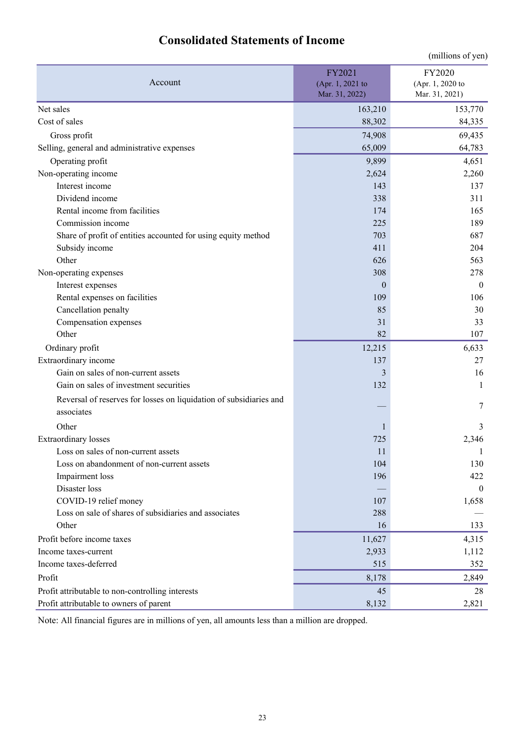| <b>Consolidated Statements of Income</b> |
|------------------------------------------|
|------------------------------------------|

|                                                                    |                                              | (millions of yen)                            |
|--------------------------------------------------------------------|----------------------------------------------|----------------------------------------------|
| Account                                                            | FY2021<br>(Apr. 1, 2021 to<br>Mar. 31, 2022) | FY2020<br>(Apr. 1, 2020 to<br>Mar. 31, 2021) |
| Net sales                                                          | 163,210                                      | 153,770                                      |
| Cost of sales                                                      | 88,302                                       | 84,335                                       |
| Gross profit                                                       | 74,908                                       | 69,435                                       |
| Selling, general and administrative expenses                       | 65,009                                       | 64,783                                       |
| Operating profit                                                   | 9,899                                        | 4,651                                        |
| Non-operating income                                               | 2,624                                        | 2,260                                        |
| Interest income                                                    | 143                                          | 137                                          |
| Dividend income                                                    | 338                                          | 311                                          |
| Rental income from facilities                                      | 174                                          | 165                                          |
| Commission income                                                  | 225                                          | 189                                          |
| Share of profit of entities accounted for using equity method      | 703                                          | 687                                          |
| Subsidy income                                                     | 411                                          | 204                                          |
| Other                                                              | 626                                          | 563                                          |
| Non-operating expenses                                             | 308                                          | 278                                          |
| Interest expenses                                                  | $\mathbf{0}$                                 | $\boldsymbol{0}$                             |
| Rental expenses on facilities                                      | 109                                          | 106                                          |
| Cancellation penalty                                               | 85                                           | 30                                           |
| Compensation expenses                                              | 31                                           | 33                                           |
| Other                                                              | 82                                           | 107                                          |
| Ordinary profit                                                    | 12,215                                       | 6,633                                        |
| Extraordinary income                                               | 137                                          | 27                                           |
| Gain on sales of non-current assets                                | 3                                            | 16                                           |
| Gain on sales of investment securities                             | 132                                          | $\mathbf{1}$                                 |
| Reversal of reserves for losses on liquidation of subsidiaries and |                                              |                                              |
| associates                                                         |                                              | 7                                            |
| Other                                                              | 1                                            | 3                                            |
| <b>Extraordinary</b> losses                                        | 725                                          | 2,346                                        |
| Loss on sales of non-current assets                                | 11                                           | 1                                            |
| Loss on abandonment of non-current assets                          | 104                                          | 130                                          |
| Impairment loss                                                    | 196                                          | 422                                          |
| Disaster loss                                                      |                                              | $\mathbf{0}$                                 |
| COVID-19 relief money                                              | 107                                          | 1,658                                        |
| Loss on sale of shares of subsidiaries and associates              | 288                                          |                                              |
| Other                                                              | 16                                           | 133                                          |
| Profit before income taxes                                         | 11,627                                       | 4,315                                        |
| Income taxes-current                                               | 2,933                                        | 1,112                                        |
| Income taxes-deferred                                              | 515                                          | 352                                          |
| Profit                                                             | 8,178                                        | 2,849                                        |
| Profit attributable to non-controlling interests                   | 45                                           | 28                                           |
| Profit attributable to owners of parent                            | 8,132                                        | 2,821                                        |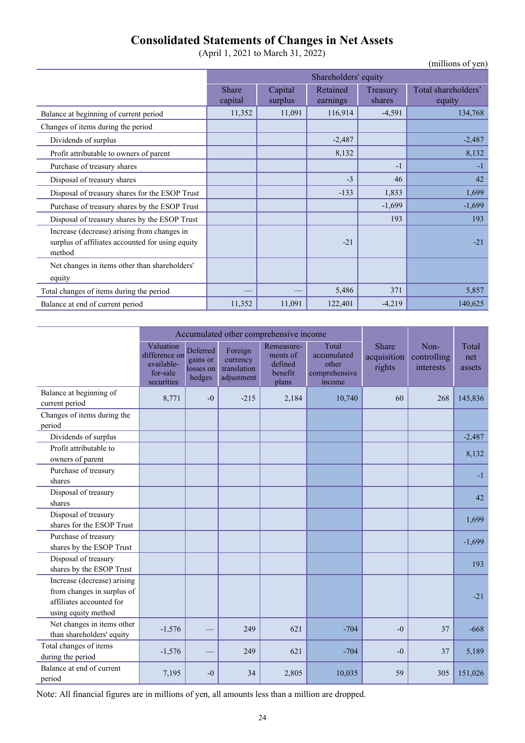## **Consolidated Statements of Changes in Net Assets**

(April 1, 2021 to March 31, 2022)

|                                                                                                           |                      |                    |                      |                    | (millions of yen)             |  |  |
|-----------------------------------------------------------------------------------------------------------|----------------------|--------------------|----------------------|--------------------|-------------------------------|--|--|
|                                                                                                           | Shareholders' equity |                    |                      |                    |                               |  |  |
|                                                                                                           | Share<br>capital     | Capital<br>surplus | Retained<br>earnings | Treasury<br>shares | Total shareholders'<br>equity |  |  |
| Balance at beginning of current period                                                                    | 11,352               | 11,091             | 116,914              | $-4,591$           | 134,768                       |  |  |
| Changes of items during the period                                                                        |                      |                    |                      |                    |                               |  |  |
| Dividends of surplus                                                                                      |                      |                    | $-2,487$             |                    | $-2,487$                      |  |  |
| Profit attributable to owners of parent                                                                   |                      |                    | 8,132                |                    | 8,132                         |  |  |
| Purchase of treasury shares                                                                               |                      |                    |                      | -1                 | $-1$                          |  |  |
| Disposal of treasury shares                                                                               |                      |                    | $-3$                 | 46                 | 42                            |  |  |
| Disposal of treasury shares for the ESOP Trust                                                            |                      |                    | $-133$               | 1,833              | 1,699                         |  |  |
| Purchase of treasury shares by the ESOP Trust                                                             |                      |                    |                      | $-1,699$           | $-1,699$                      |  |  |
| Disposal of treasury shares by the ESOP Trust                                                             |                      |                    |                      | 193                | 193                           |  |  |
| Increase (decrease) arising from changes in<br>surplus of affiliates accounted for using equity<br>method |                      |                    | $-21$                |                    | $-21$                         |  |  |
| Net changes in items other than shareholders'<br>equity                                                   |                      |                    |                      |                    |                               |  |  |
| Total changes of items during the period                                                                  |                      |                    | 5,486                | 371                | 5,857                         |  |  |
| Balance at end of current period                                                                          | 11,352               | 11,091             | 122,401              | $-4,219$           | 140,625                       |  |  |

|                                                                                                              |                                                                    |                                             | Accumulated other comprehensive income           |                                                       |                                                          |                                |                                  |                        |
|--------------------------------------------------------------------------------------------------------------|--------------------------------------------------------------------|---------------------------------------------|--------------------------------------------------|-------------------------------------------------------|----------------------------------------------------------|--------------------------------|----------------------------------|------------------------|
|                                                                                                              | Valuation<br>difference on<br>available-<br>for-sale<br>securities | Deferred<br>gains or<br>losses on<br>hedges | Foreign<br>currency<br>translation<br>adjustment | Remeasure-<br>ments of<br>defined<br>benefit<br>plans | Total<br>accumulated<br>other<br>comprehensive<br>income | Share<br>acquisition<br>rights | Non-<br>controlling<br>interests | Total<br>net<br>assets |
| Balance at beginning of<br>current period                                                                    | 8,771                                                              | $-0$                                        | $-215$                                           | 2,184                                                 | 10,740                                                   | 60                             | 268                              | 145,836                |
| Changes of items during the<br>period                                                                        |                                                                    |                                             |                                                  |                                                       |                                                          |                                |                                  |                        |
| Dividends of surplus                                                                                         |                                                                    |                                             |                                                  |                                                       |                                                          |                                |                                  | $-2,487$               |
| Profit attributable to<br>owners of parent                                                                   |                                                                    |                                             |                                                  |                                                       |                                                          |                                |                                  | 8,132                  |
| Purchase of treasury<br>shares                                                                               |                                                                    |                                             |                                                  |                                                       |                                                          |                                |                                  | $-1$                   |
| Disposal of treasury<br>shares                                                                               |                                                                    |                                             |                                                  |                                                       |                                                          |                                |                                  | 42                     |
| Disposal of treasury<br>shares for the ESOP Trust                                                            |                                                                    |                                             |                                                  |                                                       |                                                          |                                |                                  | 1,699                  |
| Purchase of treasury<br>shares by the ESOP Trust                                                             |                                                                    |                                             |                                                  |                                                       |                                                          |                                |                                  | $-1,699$               |
| Disposal of treasury<br>shares by the ESOP Trust                                                             |                                                                    |                                             |                                                  |                                                       |                                                          |                                |                                  | 193                    |
| Increase (decrease) arising<br>from changes in surplus of<br>affiliates accounted for<br>using equity method |                                                                    |                                             |                                                  |                                                       |                                                          |                                |                                  | $-21$                  |
| Net changes in items other<br>than shareholders' equity                                                      | $-1,576$                                                           |                                             | 249                                              | 621                                                   | $-704$                                                   | $-0$                           | 37                               | $-668$                 |
| Total changes of items<br>during the period                                                                  | $-1,576$                                                           |                                             | 249                                              | 621                                                   | $-704$                                                   | $-0$                           | 37                               | 5,189                  |
| Balance at end of current<br>period                                                                          | 7,195                                                              | $-0$                                        | 34                                               | 2,805                                                 | 10,035                                                   | 59                             | 305                              | 151,026                |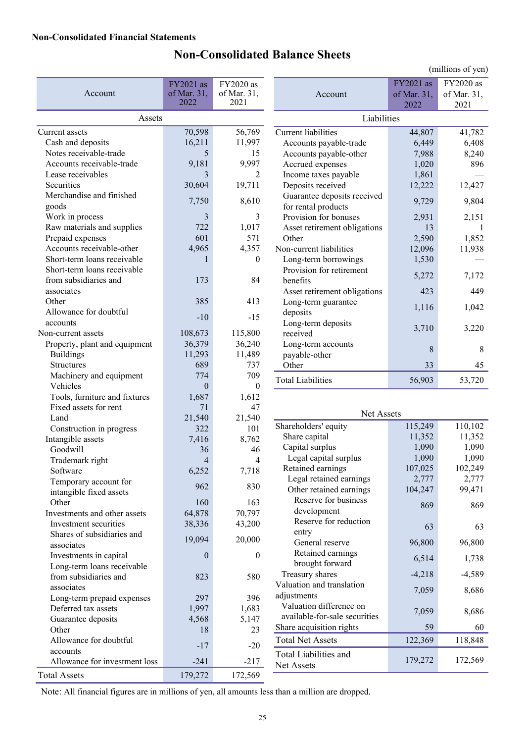# **Non-Consolidated Balance Sheets**

|                                     |                                  |                                  |                                        |                                  | (millions of yen)                |
|-------------------------------------|----------------------------------|----------------------------------|----------------------------------------|----------------------------------|----------------------------------|
| Account                             | FY2021 as<br>of Mar. 31,<br>2022 | FY2020 as<br>of Mar. 31,<br>2021 | Account                                | FY2021 as<br>of Mar. 31,<br>2022 | FY2020 as<br>of Mar. 31,<br>2021 |
| Assets                              |                                  |                                  | Liabilities                            |                                  |                                  |
| Current assets                      | 70,598                           | 56,769                           | Current liabilities                    | 44,807                           | 41,782                           |
| Cash and deposits                   | 16,211                           | 11,997                           | Accounts payable-trade                 | 6,449                            | 6,408                            |
| Notes receivable-trade              | 5                                | 15                               | Accounts payable-other                 | 7,988                            | 8,240                            |
| Accounts receivable-trade           | 9,181                            | 9,997                            | Accrued expenses                       | 1,020                            | 896                              |
| Lease receivables                   | 3                                | $\overline{2}$                   | Income taxes payable                   | 1,861                            |                                  |
| Securities                          | 30,604                           | 19,711                           | Deposits received                      | 12,222                           | 12,427                           |
| Merchandise and finished            |                                  |                                  | Guarantee deposits received            |                                  |                                  |
| goods                               | 7,750                            | 8,610                            | for rental products                    | 9,729                            | 9,804                            |
| Work in process                     | 3                                | 3                                | Provision for bonuses                  | 2,931                            | 2,151                            |
| Raw materials and supplies          | 722                              | 1,017                            | Asset retirement obligations           | 13                               | -1                               |
| Prepaid expenses                    | 601                              | 571                              | Other                                  | 2,590                            | 1,852                            |
| Accounts receivable-other           | 4,965                            | 4,357                            | Non-current liabilities                | 12,096                           | 11,938                           |
| Short-term loans receivable         | 1                                | $\mathbf{0}$                     | Long-term borrowings                   | 1,530                            |                                  |
| Short-term loans receivable         |                                  |                                  | Provision for retirement               | 5,272                            | 7,172                            |
| from subsidiaries and               | 173                              | 84                               | benefits                               |                                  |                                  |
| associates                          |                                  |                                  | Asset retirement obligations           | 423                              | 449                              |
| Other                               | 385                              | 413                              | Long-term guarantee                    | 1,116                            | 1,042                            |
| Allowance for doubtful              | $-10$                            | $-15$                            | deposits                               |                                  |                                  |
| accounts                            |                                  |                                  | Long-term deposits                     | 3,710                            | 3,220                            |
| Non-current assets                  | 108,673                          | 115,800                          | received                               |                                  |                                  |
| Property, plant and equipment       | 36,379                           | 36,240                           | Long-term accounts                     | 8                                | 8                                |
| <b>Buildings</b>                    | 11,293                           | 11,489                           | payable-other                          |                                  |                                  |
| Structures                          | 689<br>774                       | 737<br>709                       | Other                                  | 33                               | 45                               |
| Machinery and equipment<br>Vehicles | $\theta$                         | $\theta$                         | <b>Total Liabilities</b>               | 56,903                           | 53,720                           |
| Tools, furniture and fixtures       | 1,687                            | 1,612                            |                                        |                                  |                                  |
| Fixed assets for rent               | 71                               | 47                               |                                        |                                  |                                  |
| Land                                | 21,540                           | 21,540                           | Net Assets                             |                                  |                                  |
| Construction in progress            | 322                              | 101                              | Shareholders' equity                   | 115,249                          | 110,102                          |
| Intangible assets                   | 7,416                            | 8,762                            | Share capital                          | 11,352                           | 11,352                           |
| Goodwill                            | 36                               | 46                               | Capital surplus                        | 1,090                            | 1,090                            |
| Trademark right                     | 4                                | $\overline{4}$                   | Legal capital surplus                  | 1,090                            | 1,090                            |
| Software                            | 6,252                            | 7,718                            | Retained earnings                      | 107,025                          | 102,249                          |
| Temporary account for               |                                  |                                  | Legal retained earnings                | 2,777                            | 2,777                            |
| intangible fixed assets             | 962                              | 830                              | Other retained earnings                | 104,247                          | 99,471                           |
| Other                               | 160                              | 163                              | Reserve for business                   | 869                              | 869                              |
| Investments and other assets        | 64,878                           | 70,797                           | development                            |                                  |                                  |
| Investment securities               | 38,336                           | 43,200                           | Reserve for reduction                  | 63                               | 63                               |
| Shares of subsidiaries and          | 19,094                           | 20,000                           | entry                                  |                                  |                                  |
| associates                          |                                  |                                  | General reserve                        | 96,800                           | 96,800                           |
| Investments in capital              | $\boldsymbol{0}$                 | $\boldsymbol{0}$                 | Retained earnings                      | 6,514                            | 1,738                            |
| Long-term loans receivable          |                                  |                                  | brought forward                        |                                  |                                  |
| from subsidiaries and               | 823                              | 580                              | Treasury shares                        | $-4,218$                         | $-4,589$                         |
| associates                          |                                  |                                  | Valuation and translation              | 7,059                            | 8,686                            |
| Long-term prepaid expenses          | 297                              | 396                              | adjustments<br>Valuation difference on |                                  |                                  |
| Deferred tax assets                 | 1,997                            | 1,683                            | available-for-sale securities          | 7,059                            | 8,686                            |
| Guarantee deposits                  | 4,568                            | 5,147                            | Share acquisition rights               | 59                               | 60                               |
| Other                               | 18                               | 23                               |                                        |                                  |                                  |
| Allowance for doubtful              | $-17$                            | $-20$                            | <b>Total Net Assets</b>                | 122,369                          | 118,848                          |
| accounts                            |                                  |                                  | Total Liabilities and                  | 179,272                          | 172,569                          |
| Allowance for investment loss       | $-241$                           | $-217$                           | Net Assets                             |                                  |                                  |
| <b>Total Assets</b>                 | 179,272                          | 172,569                          |                                        |                                  |                                  |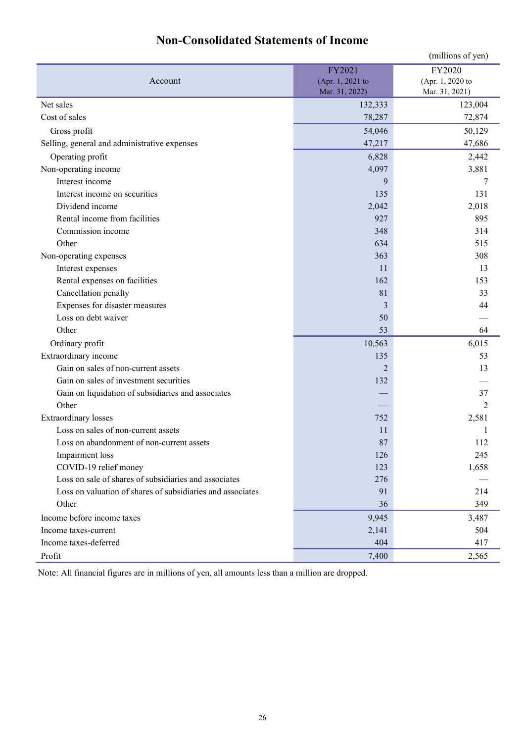|                                                            |                  | (millions of yen) |
|------------------------------------------------------------|------------------|-------------------|
|                                                            | FY2021           | FY2020            |
| Account                                                    | (Apr. 1, 2021 to | (Apr. 1, 2020 to  |
|                                                            | Mar. 31, 2022)   | Mar. 31, 2021)    |
| Net sales                                                  | 132,333          | 123,004           |
| Cost of sales                                              | 78,287           | 72,874            |
| Gross profit                                               | 54,046           | 50,129            |
| Selling, general and administrative expenses               | 47,217           | 47,686            |
| Operating profit                                           | 6,828            | 2,442             |
| Non-operating income                                       | 4,097            | 3,881             |
| Interest income                                            | 9                | 7                 |
| Interest income on securities                              | 135              | 131               |
| Dividend income                                            | 2,042            | 2,018             |
| Rental income from facilities                              | 927              | 895               |
| Commission income                                          | 348              | 314               |
| Other                                                      | 634              | 515               |
| Non-operating expenses                                     | 363              | 308               |
| Interest expenses                                          | 11               | 13                |
| Rental expenses on facilities                              | 162              | 153               |
| Cancellation penalty                                       | 81               | 33                |
| Expenses for disaster measures                             | 3                | 44                |
| Loss on debt waiver                                        | 50               |                   |
| Other                                                      | 53               | 64                |
| Ordinary profit                                            | 10,563           | 6,015             |
| Extraordinary income                                       | 135              | 53                |
| Gain on sales of non-current assets                        | 2                | 13                |
| Gain on sales of investment securities                     | 132              |                   |
| Gain on liquidation of subsidiaries and associates         |                  | 37                |
| Other                                                      |                  | $\overline{c}$    |
| <b>Extraordinary</b> losses                                | 752              | 2,581             |
| Loss on sales of non-current assets                        | 11               |                   |
| Loss on abandonment of non-current assets                  | 87               | 112               |
| Impairment loss                                            | 126              | 245               |
| COVID-19 relief money                                      | 123              | 1,658             |
| Loss on sale of shares of subsidiaries and associates      | 276              |                   |
| Loss on valuation of shares of subsidiaries and associates | 91               | 214               |
| Other                                                      | 36               | 349               |
| Income before income taxes                                 | 9,945            | 3,487             |
| Income taxes-current                                       | 2,141            | 504               |
| Income taxes-deferred                                      | 404              | 417               |
| Profit                                                     | 7,400            | 2,565             |

# **Non-Consolidated Statements of Income**